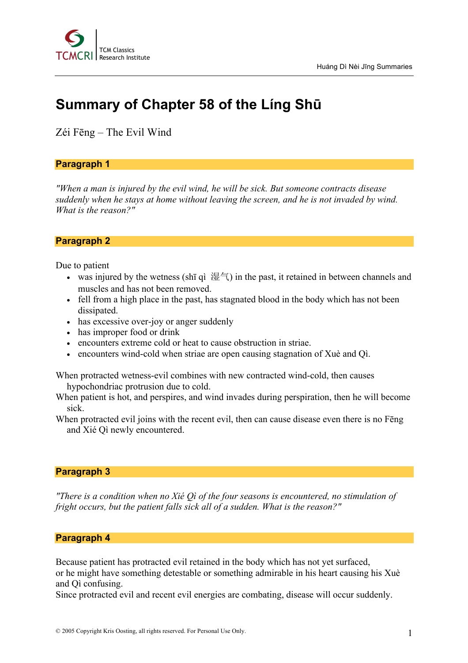

# **Summary of Chapter 58 of the Líng Shū**

Zéi Fēng – The Evil Wind

## **Paragraph 1**

*"When a man is injured by the evil wind, he will be sick. But someone contracts disease suddenly when he stays at home without leaving the screen, and he is not invaded by wind. What is the reason?"*

### **Paragraph 2**

Due to patient

- was injured by the wetness (shī qì  $\mathbb{R}^2$ ) in the past, it retained in between channels and muscles and has not been removed.
- fell from a high place in the past, has stagnated blood in the body which has not been dissipated.
- has excessive over-joy or anger suddenly
- has improper food or drink
- encounters extreme cold or heat to cause obstruction in striae.
- encounters wind-cold when striae are open causing stagnation of Xuè and Qì.

When protracted wetness-evil combines with new contracted wind-cold, then causes hypochondriac protrusion due to cold.

- When patient is hot, and perspires, and wind invades during perspiration, then he will become sick.
- When protracted evil joins with the recent evil, then can cause disease even there is no Feng and Xié Qì newly encountered.

### **Paragraph 3**

*"There is a condition when no Xié Qì of the four seasons is encountered, no stimulation of fright occurs, but the patient falls sick all of a sudden. What is the reason?"*

#### **Paragraph 4**

Because patient has protracted evil retained in the body which has not yet surfaced, or he might have something detestable or something admirable in his heart causing his Xuè and Qì confusing.

Since protracted evil and recent evil energies are combating, disease will occur suddenly.